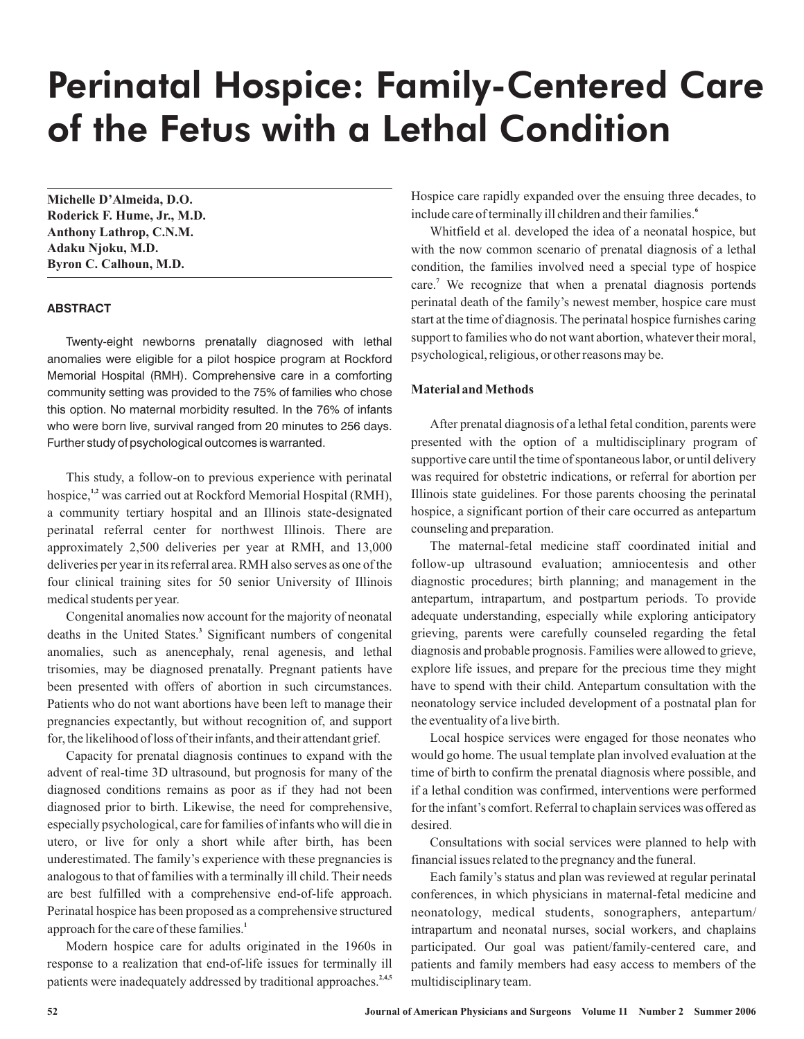# Perinatal Hospice: Family-Centered Care of the Fetus with a Lethal Condition

**Michelle D'Almeida, D.O. Roderick F. Hume, Jr., M.D. Anthony Lathrop, C.N.M. Adaku Njoku, M.D. Byron C. Calhoun, M.D.**

#### **ABSTRACT**

Twenty-eight newborns prenatally diagnosed with lethal anomalies were eligible for a pilot hospice program at Rockford Memorial Hospital (RMH). Comprehensive care in a comforting community setting was provided to the 75% of families who chose this option. No maternal morbidity resulted. In the 76% of infants who were born live, survival ranged from 20 minutes to 256 days. Further study of psychological outcomes is warranted.

This study, a follow-on to previous experience with perinatal hospice,<sup>1,2</sup> was carried out at Rockford Memorial Hospital (RMH), a community tertiary hospital and an Illinois state-designated perinatal referral center for northwest Illinois. There are approximately 2,500 deliveries per year at RMH, and 13,000 deliveries per year in its referral area. RMH also serves as one of the four clinical training sites for 50 senior University of Illinois medical students per year.

Congenital anomalies now account for the majority of neonatal deaths in the United States.<sup>3</sup> Significant numbers of congenital anomalies, such as anencephaly, renal agenesis, and lethal trisomies, may be diagnosed prenatally. Pregnant patients have been presented with offers of abortion in such circumstances. Patients who do not want abortions have been left to manage their pregnancies expectantly, but without recognition of, and support for, the likelihood of loss of their infants, and their attendant grief.

Capacity for prenatal diagnosis continues to expand with the advent of real-time 3D ultrasound, but prognosis for many of the diagnosed conditions remains as poor as if they had not been diagnosed prior to birth. Likewise, the need for comprehensive, especially psychological, care for families of infants who will die in utero, or live for only a short while after birth, has been underestimated. The family's experience with these pregnancies is analogous to that of families with a terminally ill child. Their needs are best fulfilled with a comprehensive end-of-life approach. Perinatal hospice has been proposed as a comprehensive structured approach for the care of these families. **1**

Modern hospice care for adults originated in the 1960s in response to a realization that end-of-life issues for terminally ill patients were inadequately addressed by traditional approaches.<sup>2,4,5</sup>

Hospice care rapidly expanded over the ensuing three decades, to include care of terminally ill children and their families. **6**

Whitfield et al. developed the idea of a neonatal hospice, but with the now common scenario of prenatal diagnosis of a lethal condition, the families involved need a special type of hospice care.<sup>7</sup> We recognize that when a prenatal diagnosis portends perinatal death of the family's newest member, hospice care must start at the time of diagnosis. The perinatal hospice furnishes caring support to families who do not want abortion, whatever their moral, psychological, religious, or other reasons may be.

## **Material andMethods**

After prenatal diagnosis of a lethal fetal condition, parents were presented with the option of a multidisciplinary program of supportive care until the time of spontaneous labor, or until delivery was required for obstetric indications, or referral for abortion per Illinois state guidelines. For those parents choosing the perinatal hospice, a significant portion of their care occurred as antepartum counseling and preparation.

The maternal-fetal medicine staff coordinated initial and follow-up ultrasound evaluation; amniocentesis and other diagnostic procedures; birth planning; and management in the antepartum, intrapartum, and postpartum periods. To provide adequate understanding, especially while exploring anticipatory grieving, parents were carefully counseled regarding the fetal diagnosis and probable prognosis. Families were allowed to grieve, explore life issues, and prepare for the precious time they might have to spend with their child. Antepartum consultation with the neonatology service included development of a postnatal plan for the eventuality of a live birth.

Local hospice services were engaged for those neonates who would go home. The usual template plan involved evaluation at the time of birth to confirm the prenatal diagnosis where possible, and if a lethal condition was confirmed, interventions were performed for the infant's comfort. Referral to chaplain services was offered as desired.

Consultations with social services were planned to help with financial issues related to the pregnancy and the funeral.

Each family's status and plan was reviewed at regular perinatal conferences, in which physicians in maternal-fetal medicine and neonatology, medical students, sonographers, antepartum/ intrapartum and neonatal nurses, social workers, and chaplains participated. Our goal was patient/family-centered care, and patients and family members had easy access to members of the multidisciplinary team.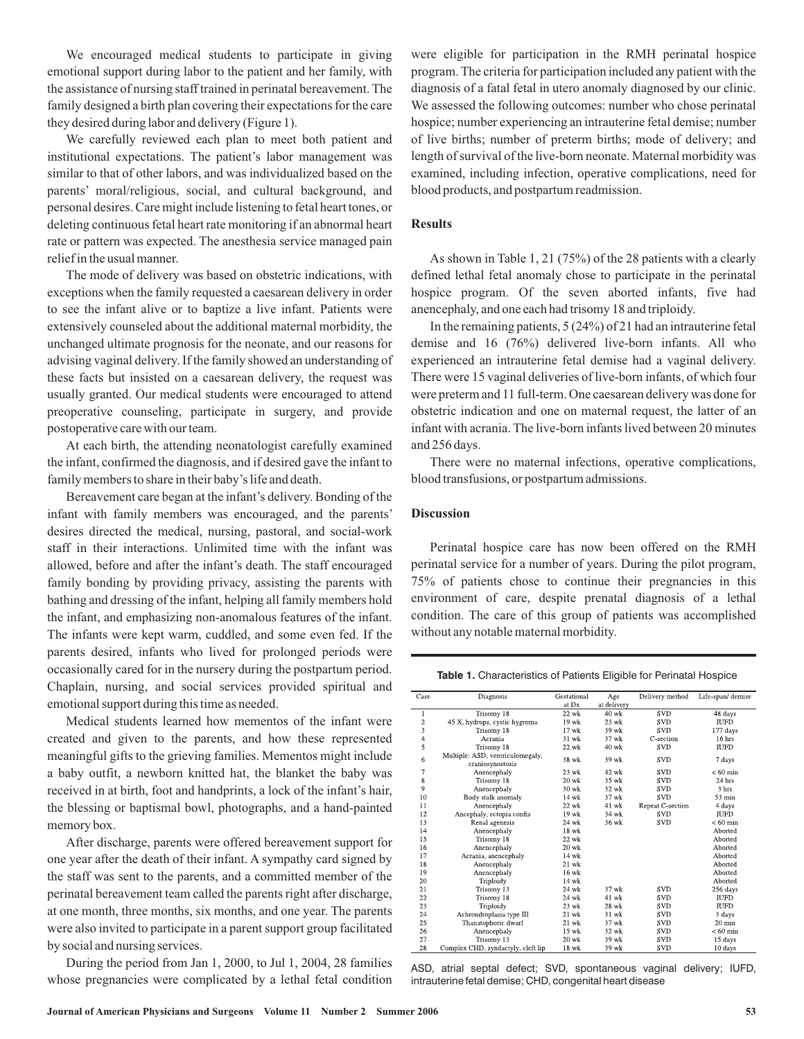We encouraged medical students to participate in giving emotional support during labor to the patient and her family, with the assistance of nursing staff trained in perinatal bereavement. The family designed a birth plan covering their expectations for the care they desired during labor and delivery (Figure 1).

We carefully reviewed each plan to meet both patient and institutional expectations. The patient's labor management was similar to that of other labors, and was individualized based on the parents' moral/religious, social, and cultural background, and personal desires. Care might include listening to fetal heart tones, or deleting continuous fetal heart rate monitoring if an abnormal heart rate or pattern was expected. The anesthesia service managed pain relief in the usual manner.

The mode of delivery was based on obstetric indications, with exceptions when the family requested a caesarean delivery in order to see the infant alive or to baptize a live infant. Patients were extensively counseled about the additional maternal morbidity, the unchanged ultimate prognosis for the neonate, and our reasons for advising vaginal delivery. If the family showed an understanding of these facts but insisted on a caesarean delivery, the request was usually granted. Our medical students were encouraged to attend preoperative counseling, participate in surgery, and provide postoperative care with our team.

At each birth, the attending neonatologist carefully examined the infant, confirmed the diagnosis, and if desired gave the infant to family members to share in their baby's life and death.

Bereavement care began at the infant's delivery. Bonding of the infant with family members was encouraged, and the parents' desires directed the medical, nursing, pastoral, and social-work staff in their interactions. Unlimited time with the infant was allowed, before and after the infant's death. The staff encouraged family bonding by providing privacy, assisting the parents with bathing and dressing of the infant, helping all family members hold the infant, and emphasizing non-anomalous features of the infant. The infants were kept warm, cuddled, and some even fed. If the parents desired, infants who lived for prolonged periods were occasionally cared for in the nursery during the postpartum period. Chaplain, nursing, and social services provided spiritual and emotional support during this time as needed.

Medical students learned how mementos of the infant were created and given to the parents, and how these represented meaningful gifts to the grieving families. Mementos might include a baby outfit, a newborn knitted hat, the blanket the baby was received in at birth, foot and handprints, a lock of the infant's hair, the blessing or baptismal bowl, photographs, and a hand-painted memory box.

After discharge, parents were offered bereavement support for one year after the death of their infant. A sympathy card signed by the staff was sent to the parents, and a committed member of the perinatal bereavement team called the parents right after discharge, at one month, three months, six months, and one year. The parents were also invited to participate in a parent support group facilitated by social and nursing services.

During the period from Jan 1, 2000, to Jul 1, 2004, 28 families whose pregnancies were complicated by a lethal fetal condition were eligible for participation in the RMH perinatal hospice program. The criteria for participation included any patient with the diagnosis of a fatal fetal in utero anomaly diagnosed by our clinic. We assessed the following outcomes: number who chose perinatal hospice; number experiencing an intrauterine fetal demise; number of live births; number of preterm births; mode of delivery; and length of survival of the live-born neonate. Maternal morbidity was examined, including infection, operative complications, need for blood products, and postpartum readmission.

#### **Results**

As shown in Table 1, 21 (75%) of the 28 patients with a clearly defined lethal fetal anomaly chose to participate in the perinatal hospice program. Of the seven aborted infants, five had anencephaly, and one each had trisomy 18 and triploidy.

In the remaining patients, 5 (24%) of 21 had an intrauterine fetal demise and 16 (76%) delivered live-born infants. All who experienced an intrauterine fetal demise had a vaginal delivery. There were 15 vaginal deliveries of live-born infants, of which four were preterm and 11 full-term. One caesarean delivery was done for obstetric indication and one on maternal request, the latter of an infant with acrania. The live-born infants lived between 20 minutes and 256 days.

There were no maternal infections, operative complications, blood transfusions, or postpartum admissions.

### **Discussion**

Perinatal hospice care has now been offered on the RMH perinatal service for a number of years. During the pilot program, 75% of patients chose to continue their pregnancies in this environment of care, despite prenatal diagnosis of a lethal condition. The care of this group of patients was accomplished without any notable maternal morbidity.

**Table 1.** Characteristics of Patients Eligible for Perinatal Hospice

| Case           | Diagnosis                                            | Gestational | Age         | Delivery method  | Life-span/demise |
|----------------|------------------------------------------------------|-------------|-------------|------------------|------------------|
|                |                                                      | at Dx       | at delivery |                  |                  |
| 1              | Trisomy 18                                           | 22 wk       | $40$ wk     | <b>SVD</b>       | 48 days          |
|                | 45 X, hydrops, cystic hygroma                        | 19 wk       | $23$ wk     | <b>SVD</b>       | <b>IUFD</b>      |
| $\frac{2}{3}$  | Trisomy 18                                           | $17$ wk     | 39 wk       | <b>SVD</b>       | 177 days         |
| $\overline{4}$ | Acrania                                              | 31 wk       | 37 wk       | C-section        | 16 hrs           |
| 5              | Trisomy 18                                           | $22$ wk     | $40$ wk     | <b>SVD</b>       | <b>IUFD</b>      |
| 6              | Multiple: ASD, ventriculomegaly,<br>craniosynostosis | 38 wk       | 39 wk       | <b>SVD</b>       | 7 days           |
| 7              | Anencephaly                                          | 23 wk       | 42 wk       | <b>SVD</b>       | $< 60$ min       |
| 8              | Trisomy 18                                           | $20$ wk     | 35 wk       | <b>SVD</b>       | 24 hrs           |
| $\overline{9}$ | Anencephaly                                          | $30$ wk     | 32 wk       | <b>SVD</b>       | 3 hrs            |
| 10             | Body stalk anomaly                                   | 14 wk       | 37 wk       | <b>SVD</b>       | 53 min           |
| 11             | Anencephaly                                          | $22$ wk     | 41 wk       | Repeat C-section | 4 days           |
| 12             | Ancephaly, ectopia cordis                            | 19 wk       | 34 wk       | <b>SVD</b>       | <b>IUFD</b>      |
| 13             | Renal agenesis                                       | 24 wk       | 36 wk       | <b>SVD</b>       | $< 60$ min       |
| 14             | Anencephaly                                          | 18 wk       |             |                  | Aborted          |
| 15             | Trisomy 18                                           | $22$ wk     |             |                  | Aborted          |
| 16             | Anencephaly                                          | $20$ wk     |             |                  | Aborted          |
| 17             | Acrania, anencephaly                                 | 14 wk       |             |                  | Aborted          |
| 18             | Anencephaly                                          | $21$ wk     |             |                  | Aborted          |
| 19             | Anencephaly                                          | $16$ wk     |             |                  | Aborted          |
| 20             | Triploidy                                            | 14 wk       |             |                  | Aborted          |
| 21             | Trisomy 13                                           | 24 wk       | 37 wk       | <b>SVD</b>       | 256 days         |
| 22             | Trisomy 18                                           | 24 wk       | 41 wk       | <b>SVD</b>       | <b>IUFD</b>      |
| 23             | Triploidy                                            | 23 wk       | 28 wk       | <b>SVD</b>       | <b>IUFD</b>      |
| 24             | Achrondroplasia type III                             | 21 wk       | 31 wk       | <b>SVD</b>       | 3 days           |
| 25             | Thanatophoric dwarf                                  | $21$ wk     | 37 wk       | <b>SVD</b>       | $20 \text{ min}$ |
| 26             | Anencephaly                                          | 15 wk       | 32 wk       | <b>SVD</b>       | $< 60$ min       |
| 27             | Trisomy 13                                           | $20$ wk     | 39 wk       | <b>SVD</b>       | 15 days          |
| 28             | Complex CHD, syndactyly, cleft lip                   | 18 wk       | 39 wk       | <b>SVD</b>       | 10 days          |

ASD, atrial septal defect; SVD, spontaneous vaginal delivery; IUFD, intrauterine fetal demise; CHD, congenital heart disease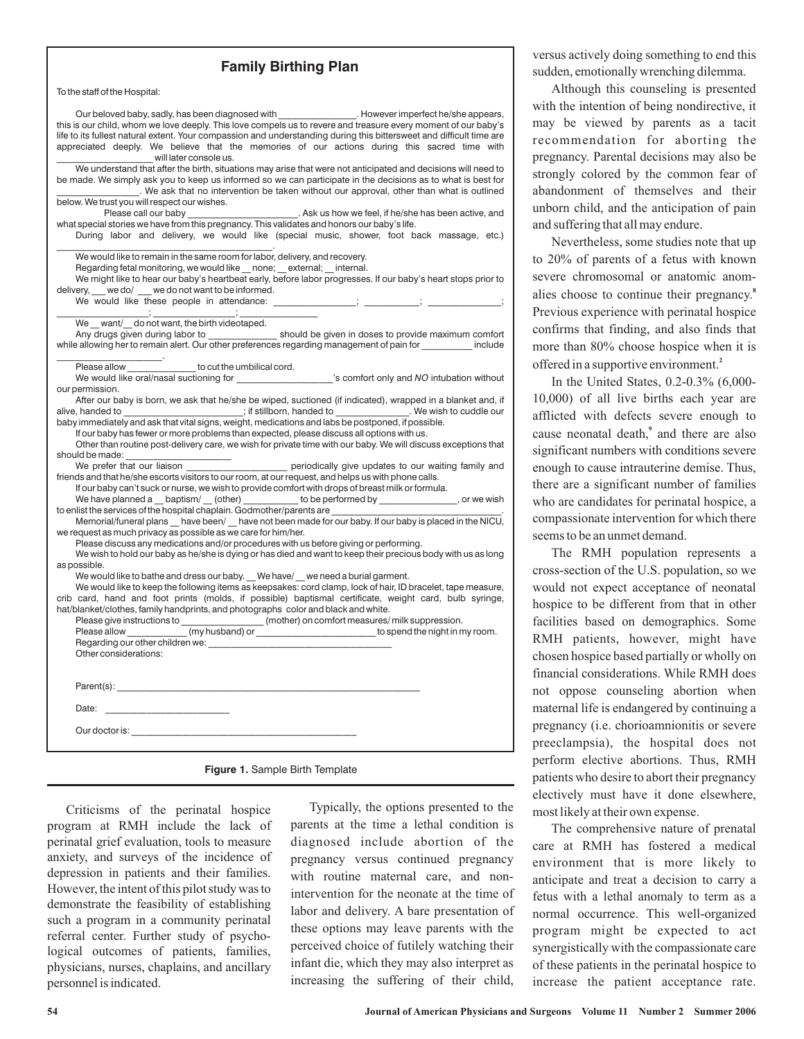## **Family Birthing Plan**

To the staff of the Hospital:

| Our beloved baby, sadly, has been diagnosed with ________________. However imperfect he/she appears,<br>this is our child, whom we love deeply. This love compels us to revere and treasure every moment of our baby's         |  |  |  |  |  |
|--------------------------------------------------------------------------------------------------------------------------------------------------------------------------------------------------------------------------------|--|--|--|--|--|
| life to its fullest natural extent. Your compassion and understanding during this bittersweet and difficult time are                                                                                                           |  |  |  |  |  |
| appreciated deeply. We believe that the memories of our actions during this sacred time with                                                                                                                                   |  |  |  |  |  |
| will later console us.                                                                                                                                                                                                         |  |  |  |  |  |
| We understand that after the birth, situations may arise that were not anticipated and decisions will need to                                                                                                                  |  |  |  |  |  |
| be made. We simply ask you to keep us informed so we can participate in the decisions as to what is best for                                                                                                                   |  |  |  |  |  |
| We ask that no intervention be taken without our approval, other than what is outlined                                                                                                                                         |  |  |  |  |  |
| below. We trust you will respect our wishes.                                                                                                                                                                                   |  |  |  |  |  |
| Please call our baby<br>Please call our baby<br>what special stories we have from this pregnancy. This validates and honors our baby's life.                                                                                   |  |  |  |  |  |
| During labor and delivery, we would like (special music, shower, foot back massage, etc.)                                                                                                                                      |  |  |  |  |  |
|                                                                                                                                                                                                                                |  |  |  |  |  |
| We would like to remain in the same room for labor, delivery, and recovery.                                                                                                                                                    |  |  |  |  |  |
| Regarding fetal monitoring, we would like __ none; __ external; __ internal.<br>We might like to hear our baby's heartbeat early, before labor progresses. If our baby's heart stops prior to                                  |  |  |  |  |  |
| delivery, we do/ we do not want to be informed.                                                                                                                                                                                |  |  |  |  |  |
|                                                                                                                                                                                                                                |  |  |  |  |  |
|                                                                                                                                                                                                                                |  |  |  |  |  |
| We _want/_do not want, the birth videotaped.                                                                                                                                                                                   |  |  |  |  |  |
| Any drugs given during labor to ________________ should be given in doses to provide maximum comfort                                                                                                                           |  |  |  |  |  |
| while allowing her to remain alert. Our other preferences regarding management of pain for include                                                                                                                             |  |  |  |  |  |
| to cut the umbilical cord.<br>Please allow                                                                                                                                                                                     |  |  |  |  |  |
| We would like oral/nasal suctioning for _____________________'s comfort only and NO intubation without                                                                                                                         |  |  |  |  |  |
| our permission.                                                                                                                                                                                                                |  |  |  |  |  |
| After our baby is born, we ask that he/she be wiped, suctioned (if indicated), wrapped in a blanket and, if                                                                                                                    |  |  |  |  |  |
| alive, handed to _____________________; if stillborn, handed to _____________. We wish to cuddle our                                                                                                                           |  |  |  |  |  |
| baby immediately and ask that vital signs, weight, medications and labs be postponed, if possible.                                                                                                                             |  |  |  |  |  |
| If our baby has fewer or more problems than expected, please discuss all options with us.<br>Other than routine post-delivery care, we wish for private time with our baby. We will discuss exceptions that                    |  |  |  |  |  |
| should be made:                                                                                                                                                                                                                |  |  |  |  |  |
|                                                                                                                                                                                                                                |  |  |  |  |  |
| friends and that he/she escorts visitors to our room, at our request, and helps us with phone calls.                                                                                                                           |  |  |  |  |  |
| If our baby can't suck or nurse, we wish to provide comfort with drops of breast milk or formula.                                                                                                                              |  |  |  |  |  |
| We have planned a __ baptism/ __ (other) ___________ to be performed by _______________, or we wish                                                                                                                            |  |  |  |  |  |
| to enlist the services of the hospital chaplain. Godmother/parents are                                                                                                                                                         |  |  |  |  |  |
| Memorial/funeral plans __ have been/ __ have not been made for our baby. If our baby is placed in the NICU,                                                                                                                    |  |  |  |  |  |
| we request as much privacy as possible as we care for him/her.                                                                                                                                                                 |  |  |  |  |  |
| Please discuss any medications and/or procedures with us before giving or performing.<br>We wish to hold our baby as he/she is dying or has died and want to keep their precious body with us as long                          |  |  |  |  |  |
| as possible.                                                                                                                                                                                                                   |  |  |  |  |  |
| We would like to bathe and dress our baby. We have/ we need a burial garment.                                                                                                                                                  |  |  |  |  |  |
| We would like to keep the following items as keepsakes: cord clamp, lock of hair, ID bracelet, tape measure,                                                                                                                   |  |  |  |  |  |
| crib card, hand and foot prints (molds, if possible) baptismal certificate, weight card, bulb syringe,                                                                                                                         |  |  |  |  |  |
| hat/blanket/clothes, family handprints, and photographs color and black and white.                                                                                                                                             |  |  |  |  |  |
|                                                                                                                                                                                                                                |  |  |  |  |  |
|                                                                                                                                                                                                                                |  |  |  |  |  |
| Regarding our other children we:                                                                                                                                                                                               |  |  |  |  |  |
| Other considerations:                                                                                                                                                                                                          |  |  |  |  |  |
|                                                                                                                                                                                                                                |  |  |  |  |  |
|                                                                                                                                                                                                                                |  |  |  |  |  |
| Date: the contract of the contract of the contract of the contract of the contract of the contract of the contract of the contract of the contract of the contract of the contract of the contract of the contract of the cont |  |  |  |  |  |
| Our doctor is: the contract of the contract of the contract of the contract of the contract of the contract of the contract of the contract of the contract of the contract of the contract of the contract of the contract of |  |  |  |  |  |
|                                                                                                                                                                                                                                |  |  |  |  |  |
| <b>Figure 1.</b> Sample Birth Template                                                                                                                                                                                         |  |  |  |  |  |

Criticisms of the perinatal hospice program at RMH include the lack of perinatal grief evaluation, tools to measure anxiety, and surveys of the incidence of depression in patients and their families. However, the intent of this pilot study was to demonstrate the feasibility of establishing such a program in a community perinatal referral center. Further study of psychological outcomes of patients, families, physicians, nurses, chaplains, and ancillary personnel is indicated.

Typically, the options presented to the parents at the time a lethal condition is diagnosed include abortion of the pregnancy versus continued pregnancy with routine maternal care, and nonintervention for the neonate at the time of labor and delivery. A bare presentation of these options may leave parents with the perceived choice of futilely watching their infant die, which they may also interpret as increasing the suffering of their child,

versus actively doing something to end this sudden, emotionally wrenching dilemma.

Although this counseling is presented with the intention of being nondirective, it may be viewed by parents as a tacit recommendation for aborting the pregnancy. Parental decisions may also be strongly colored by the common fear of abandonment of themselves and their unborn child, and the anticipation of pain and suffering that all may endure.

Nevertheless, some studies note that up to 20% of parents of a fetus with known severe chromosomal or anatomic anomalies choose to continue their pregnancy. **8** Previous experience with perinatal hospice confirms that finding, and also finds that more than 80% choose hospice when it is offered in a supportive environment. **2**

In the United States, 0.2-0.3% (6,000- 10,000) of all live births each year are afflicted with defects severe enough to cause neonatal death,<sup>9</sup> and there are also significant numbers with conditions severe enough to cause intrauterine demise. Thus, there are a significant number of families who are candidates for perinatal hospice, a compassionate intervention for which there seems to be an unmet demand.

The RMH population represents a cross-section of the U.S. population, so we would not expect acceptance of neonatal hospice to be different from that in other facilities based on demographics. Some RMH patients, however, might have chosen hospice based partially or wholly on financial considerations. While RMH does not oppose counseling abortion when maternal life is endangered by continuing a pregnancy (i.e. chorioamnionitis or severe preeclampsia), the hospital does not perform elective abortions. Thus, RMH patients who desire to abort their pregnancy electively must have it done elsewhere, most likely at their own expense.

The comprehensive nature of prenatal care at RMH has fostered a medical environment that is more likely to anticipate and treat a decision to carry a fetus with a lethal anomaly to term as a normal occurrence. This well-organized program might be expected to act synergistically with the compassionate care of these patients in the perinatal hospice to increase the patient acceptance rate.